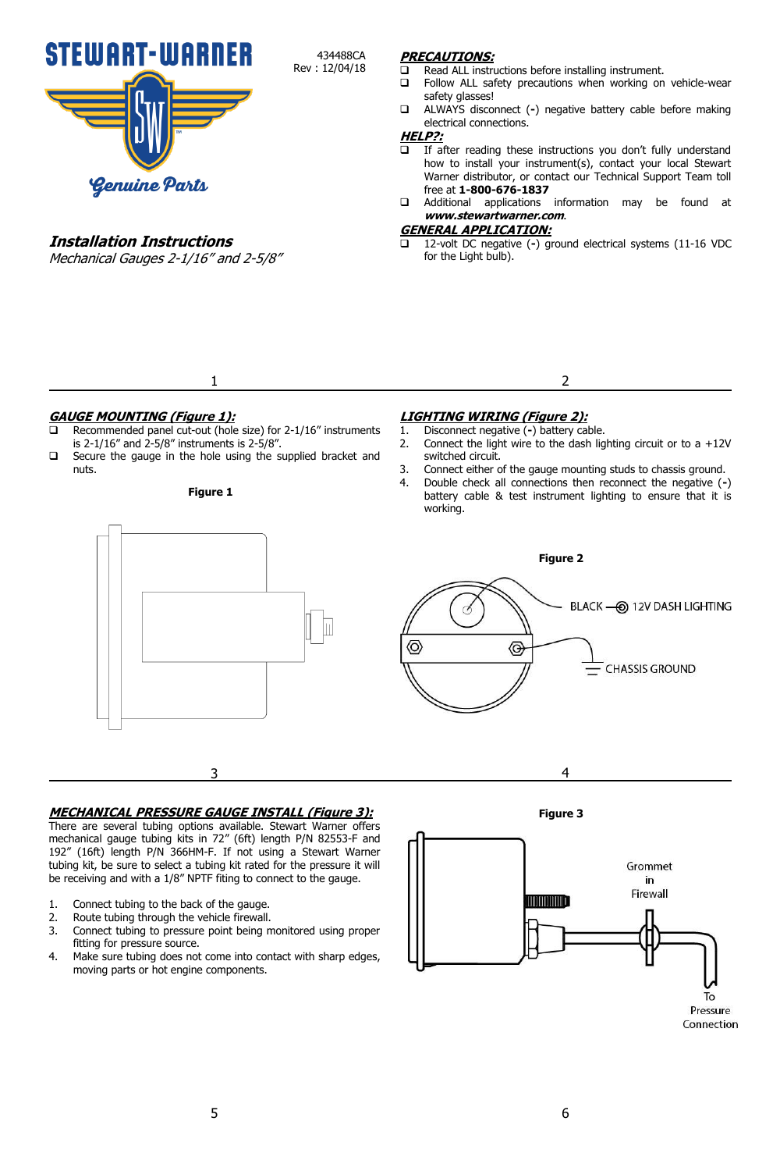

# **Installation Instructions**

Mechanical Gauges 2-1/16" and 2-5/8"

## **PRECAUTIONS:**

- $\Box$  Read ALL instructions before installing instrument.<br> $\Box$  Follow ALL safety precautions when working on
- Follow ALL safety precautions when working on vehicle-wear safety glasses!
- ALWAYS disconnect (**-**) negative battery cable before making electrical connections.

## **HELP?:**

434488CA Rev : 12/04/18

- $\overline{\Box}$  If after reading these instructions you don't fully understand how to install your instrument(s), contact your local Stewart Warner distributor, or contact our Technical Support Team toll free at **1-800-676-1837**
- Additional applications information may be found at **www.stewartwarner.com**.

## **GENERAL APPLICATION:**

 12-volt DC negative (**-**) ground electrical systems (11-16 VDC for the Light bulb).

**GAUGE MOUNTING (Figure 1):**

 Recommended panel cut-out (hole size) for 2-1/16" instruments is 2-1/16" and 2-5/8" instruments is 2-5/8".

1

 Secure the gauge in the hole using the supplied bracket and nuts.

#### **Figure 1**

## **LIGHTING WIRING (Figure 2):**

- 1. Disconnect negative (**-**) battery cable.
- 2. Connect the light wire to the dash lighting circuit or to a  $+12V$ switched circuit.

2

- 3. Connect either of the gauge mounting studs to chassis ground.
- 4. Double check all connections then reconnect the negative (**-**) battery cable & test instrument lighting to ensure that it is working.



#### **MECHANICAL PRESSURE GAUGE INSTALL (Figure 3):**

There are several tubing options available. Stewart Warner offers mechanical gauge tubing kits in 72" (6ft) length P/N 82553-F and 192" (16ft) length P/N 366HM-F. If not using a Stewart Warner tubing kit, be sure to select a tubing kit rated for the pressure it will be receiving and with a 1/8" NPTF fiting to connect to the gauge.

- 1. Connect tubing to the back of the gauge.
- 2. Route tubing through the vehicle firewall.
- 3. Connect tubing to pressure point being monitored using proper fitting for pressure source.
- 4. Make sure tubing does not come into contact with sharp edges, moving parts or hot engine components.





Connection